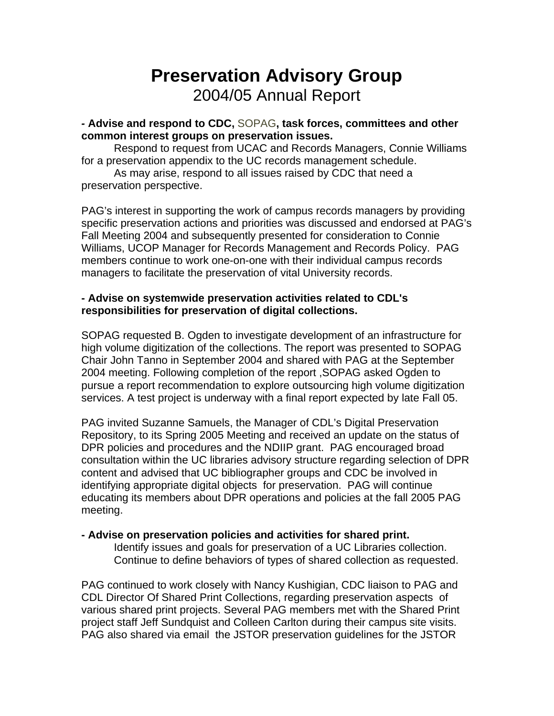# **Preservation Advisory Group**  2004/05 Annual Report

*-* **Advise and respond to CDC,** [SOPAG](http://libraries.universityofcalifornia.edu/sopag/)**, task forces, committees and other common interest groups on preservation issues.**

Respond to request from UCAC and Records Managers, Connie Williams for a preservation appendix to the UC records management schedule.

As may arise, respond to all issues raised by CDC that need a preservation perspective.

PAG's interest in supporting the work of campus records managers by providing specific preservation actions and priorities was discussed and endorsed at PAG's Fall Meeting 2004 and subsequently presented for consideration to Connie Williams, UCOP Manager for Records Management and Records Policy. PAG members continue to work one-on-one with their individual campus records managers to facilitate the preservation of vital University records.

## **- Advise on systemwide preservation activities related to CDL's responsibilities for preservation of digital collections.**

SOPAG requested B. Ogden to investigate development of an infrastructure for high volume digitization of the collections. The report was presented to SOPAG Chair John Tanno in September 2004 and shared with PAG at the September 2004 meeting. Following completion of the report ,SOPAG asked Ogden to pursue a report recommendation to explore outsourcing high volume digitization services. A test project is underway with a final report expected by late Fall 05.

PAG invited Suzanne Samuels, the Manager of CDL's Digital Preservation Repository, to its Spring 2005 Meeting and received an update on the status of DPR policies and procedures and the NDIIP grant. PAG encouraged broad consultation within the UC libraries advisory structure regarding selection of DPR content and advised that UC bibliographer groups and CDC be involved in identifying appropriate digital objects for preservation. PAG will continue educating its members about DPR operations and policies at the fall 2005 PAG meeting.

### **- Advise on preservation policies and activities for shared print.**

 Identify issues and goals for preservation of a UC Libraries collection. Continue to define behaviors of types of shared collection as requested.

PAG continued to work closely with Nancy Kushigian, CDC liaison to PAG and CDL Director Of Shared Print Collections, regarding preservation aspects of various shared print projects. Several PAG members met with the Shared Print project staff Jeff Sundquist and Colleen Carlton during their campus site visits. PAG also shared via email the JSTOR preservation guidelines for the JSTOR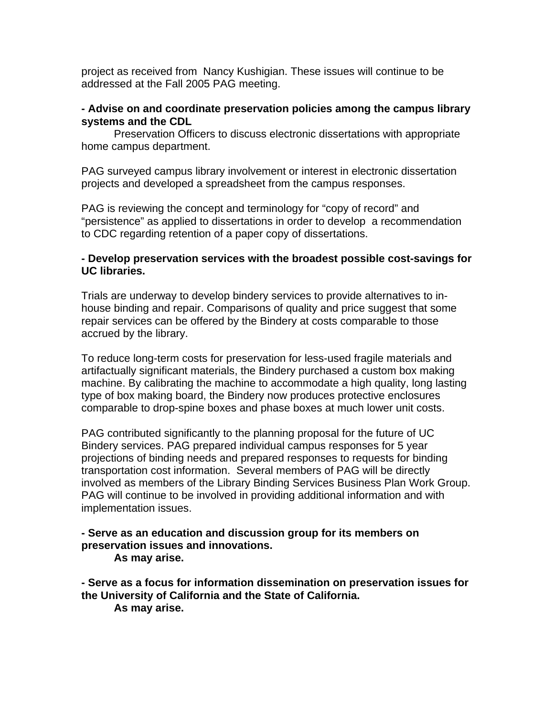project as received from Nancy Kushigian. These issues will continue to be addressed at the Fall 2005 PAG meeting.

#### **- Advise on and coordinate preservation policies among the campus library systems and the CDL**

Preservation Officers to discuss electronic dissertations with appropriate home campus department.

PAG surveyed campus library involvement or interest in electronic dissertation projects and developed a spreadsheet from the campus responses.

PAG is reviewing the concept and terminology for "copy of record" and "persistence" as applied to dissertations in order to develop a recommendation to CDC regarding retention of a paper copy of dissertations.

#### **- Develop preservation services with the broadest possible cost-savings for UC libraries.**

Trials are underway to develop bindery services to provide alternatives to inhouse binding and repair. Comparisons of quality and price suggest that some repair services can be offered by the Bindery at costs comparable to those accrued by the library.

To reduce long-term costs for preservation for less-used fragile materials and artifactually significant materials, the Bindery purchased a custom box making machine. By calibrating the machine to accommodate a high quality, long lasting type of box making board, the Bindery now produces protective enclosures comparable to drop-spine boxes and phase boxes at much lower unit costs.

PAG contributed significantly to the planning proposal for the future of UC Bindery services. PAG prepared individual campus responses for 5 year projections of binding needs and prepared responses to requests for binding transportation cost information. Several members of PAG will be directly involved as members of the Library Binding Services Business Plan Work Group. PAG will continue to be involved in providing additional information and with implementation issues.

#### **- Serve as an education and discussion group for its members on preservation issues and innovations. As may arise.**

**- Serve as a focus for information dissemination on preservation issues for the University of California and the State of California. As may arise.**